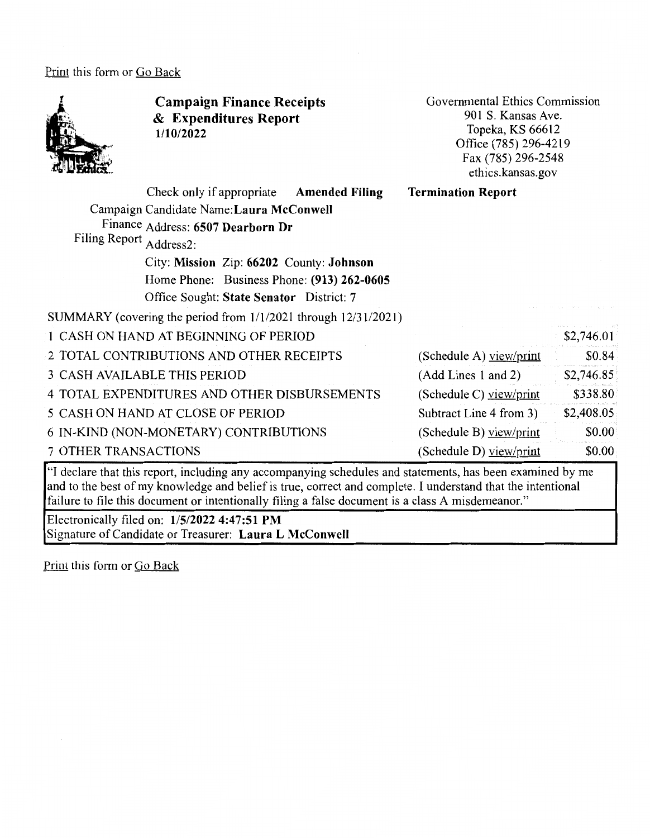Print this form or Go Back



"I declare that this report, including any accompanying schedules and statements, has been examined by me and to the best of my knowledge and belief is true, correct and complete. I understand that the intentional failure to file this document or intentionally filing a false document is a class A misdemeanor."

Electronically filed on: **1/5/2022 4:47:51 PM**  Signature of Candidate or Treasurer: **Laura L McConwell** 

Print this form or Go Back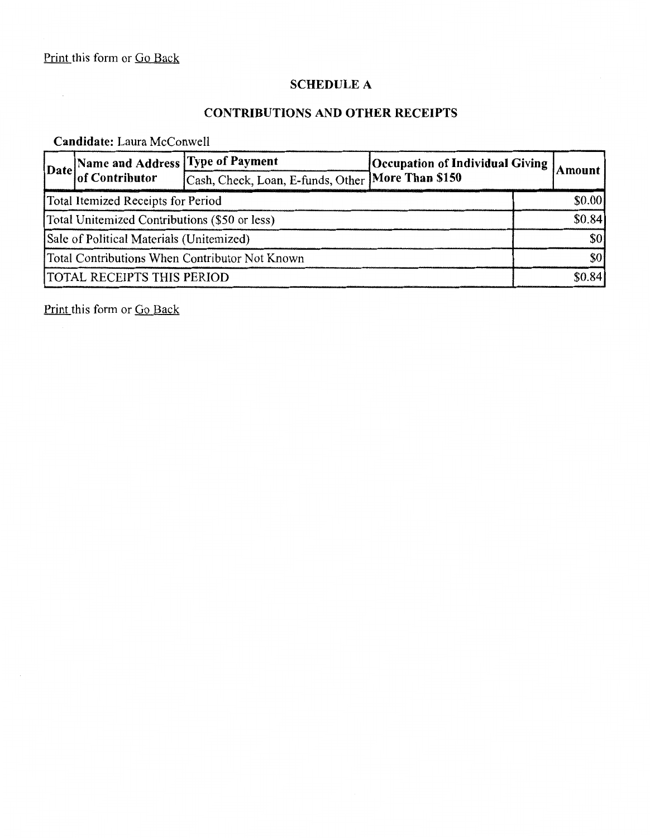# **SCHEDULE A**

### **CONTRIBUTIONS AND OTHER RECEIPTS**

# **Candidate:** Laura McConwell

|                                                | [Name and Address Type of Payment]<br>Date of Contributor |                                                      | <b>Occupation of Individual Giving</b> |  | Amount |  |
|------------------------------------------------|-----------------------------------------------------------|------------------------------------------------------|----------------------------------------|--|--------|--|
|                                                |                                                           | [Cash, Check, Loan, E-funds, Other   More Than \$150 |                                        |  |        |  |
| Total Itemized Receipts for Period             |                                                           |                                                      |                                        |  | \$0.00 |  |
| Total Unitemized Contributions (\$50 or less)  |                                                           |                                                      |                                        |  | \$0.84 |  |
| Sale of Political Materials (Unitemized)       |                                                           |                                                      |                                        |  | \$0    |  |
| Total Contributions When Contributor Not Known |                                                           |                                                      |                                        |  | \$0    |  |
| <b>TOTAL RECEIPTS THIS PERIOD</b>              |                                                           |                                                      |                                        |  | \$0.84 |  |

Print this form or Go Back